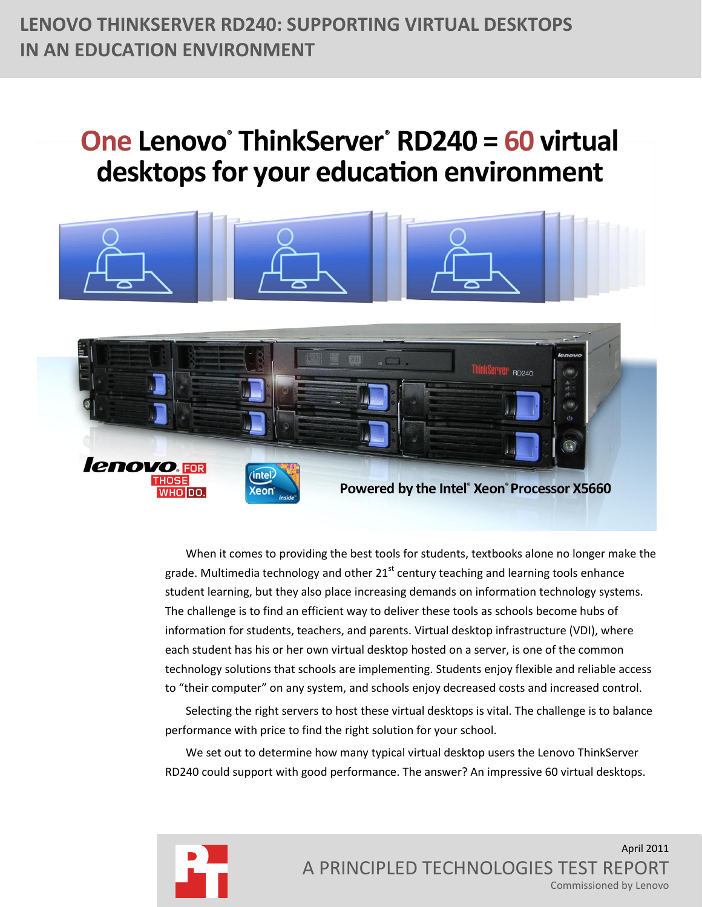# **LENOVO THINKSERVER RD240: SUPPORTING VIRTUAL DESKTOPS IN AN EDUCATION ENVIRONMENT**

# One Lenovo<sup>®</sup> ThinkServer<sup>®</sup> RD240 = 60 virtual desktops for your education environment



When it comes to providing the best tools for students, textbooks alone no longer make the grade. Multimedia technology and other  $21<sup>st</sup>$  century teaching and learning tools enhance student learning, but they also place increasing demands on information technology systems. The challenge is to find an efficient way to deliver these tools as schools become hubs of information for students, teachers, and parents. Virtual desktop infrastructure (VDI), where each student has his or her own virtual desktop hosted on a server, is one of the common technology solutions that schools are implementing. Students enjoy flexible and reliable access to "their computer" on any system, and schools enjoy decreased costs and increased control.

Selecting the right servers to host these virtual desktops is vital. The challenge is to balance performance with price to find the right solution for your school.

We set out to determine how many typical virtual desktop users the Lenovo ThinkServer RD240 could support with good performance. The answer? An impressive 60 virtual desktops.

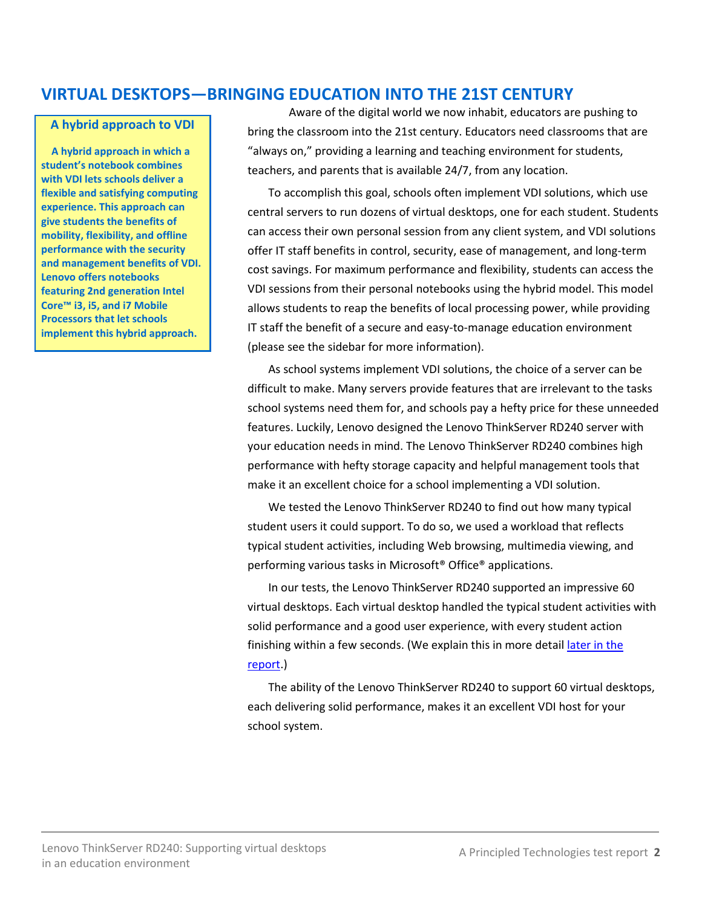# **VIRTUAL DESKTOPS—BRINGING EDUCATION INTO THE 21ST CENTURY**

#### **A hybrid approach to VDI**

**A hybrid approach in which a student's notebook combines with VDI lets schools deliver a flexible and satisfying computing experience. This approach can give students the benefits of mobility, flexibility, and offline performance with the security and management benefits of VDI. Lenovo offers notebooks featuring 2nd generation Intel Core™ i3, i5, and i7 Mobile Processors that let schools implement this hybrid approach.**

Aware of the digital world we now inhabit, educators are pushing to bring the classroom into the 21st century. Educators need classrooms that are "always on," providing a learning and teaching environment for students, teachers, and parents that is available 24/7, from any location.

To accomplish this goal, schools often implement VDI solutions, which use central servers to run dozens of virtual desktops, one for each student. Students can access their own personal session from any client system, and VDI solutions offer IT staff benefits in control, security, ease of management, and long-term cost savings. For maximum performance and flexibility, students can access the VDI sessions from their personal notebooks using the hybrid model. This model allows students to reap the benefits of local processing power, while providing IT staff the benefit of a secure and easy-to-manage education environment (please see the sidebar for more information).

As school systems implement VDI solutions, the choice of a server can be difficult to make. Many servers provide features that are irrelevant to the tasks school systems need them for, and schools pay a hefty price for these unneeded features. Luckily, Lenovo designed the Lenovo ThinkServer RD240 server with your education needs in mind. The Lenovo ThinkServer RD240 combines high performance with hefty storage capacity and helpful management tools that make it an excellent choice for a school implementing a VDI solution.

We tested the Lenovo ThinkServer RD240 to find out how many typical student users it could support. To do so, we used a workload that reflects typical student activities, including Web browsing, multimedia viewing, and performing various tasks in Microsoft® Office® applications.

In our tests, the Lenovo ThinkServer RD240 supported an impressive 60 virtual desktops. Each virtual desktop handled the typical student activities with solid performance and a good user experience, with every student action finishing within a few seconds. (We explain this in more detail later in the [report.](#page-7-0))

The ability of the Lenovo ThinkServer RD240 to support 60 virtual desktops, each delivering solid performance, makes it an excellent VDI host for your school system.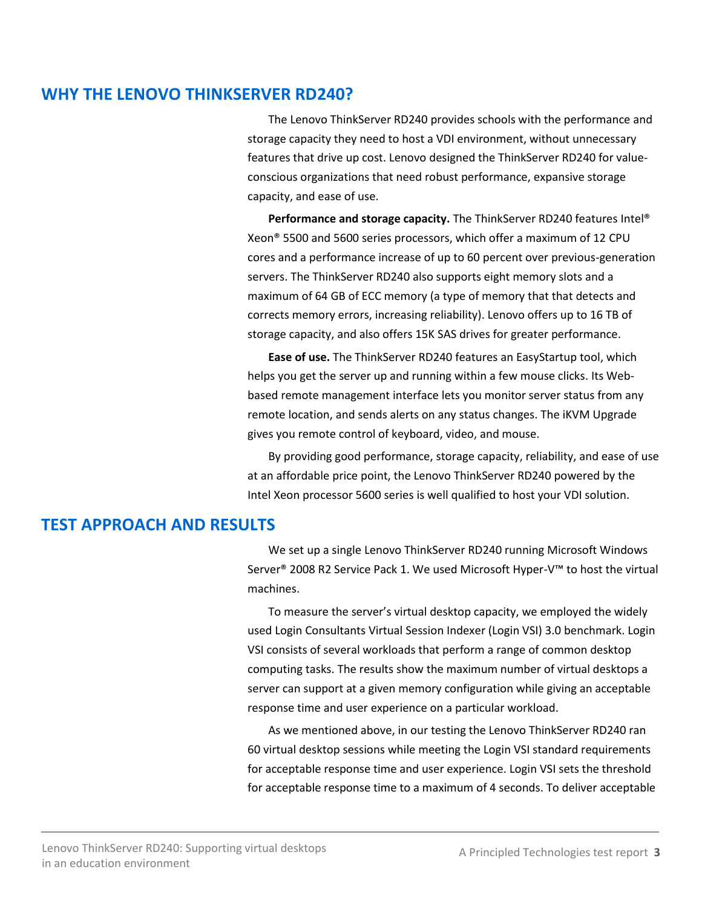# **WHY THE LENOVO THINKSERVER RD240?**

The Lenovo ThinkServer RD240 provides schools with the performance and storage capacity they need to host a VDI environment, without unnecessary features that drive up cost. Lenovo designed the ThinkServer RD240 for valueconscious organizations that need robust performance, expansive storage capacity, and ease of use.

**Performance and storage capacity.** The ThinkServer RD240 features Intel® Xeon® 5500 and 5600 series processors, which offer a maximum of 12 CPU cores and a performance increase of up to 60 percent over previous-generation servers. The ThinkServer RD240 also supports eight memory slots and a maximum of 64 GB of ECC memory (a type of memory that that detects and corrects memory errors, increasing reliability). Lenovo offers up to 16 TB of storage capacity, and also offers 15K SAS drives for greater performance.

**Ease of use.** The ThinkServer RD240 features an EasyStartup tool, which helps you get the server up and running within a few mouse clicks. Its Webbased remote management interface lets you monitor server status from any remote location, and sends alerts on any status changes. The iKVM Upgrade gives you remote control of keyboard, video, and mouse.

By providing good performance, storage capacity, reliability, and ease of use at an affordable price point, the Lenovo ThinkServer RD240 powered by the Intel Xeon processor 5600 series is well qualified to host your VDI solution.

# **TEST APPROACH AND RESULTS**

We set up a single Lenovo ThinkServer RD240 running Microsoft Windows Server® 2008 R2 Service Pack 1. We used Microsoft Hyper-V™ to host the virtual machines.

To measure the server's virtual desktop capacity, we employed the widely used Login Consultants Virtual Session Indexer (Login VSI) 3.0 benchmark. Login VSI consists of several workloads that perform a range of common desktop computing tasks. The results show the maximum number of virtual desktops a server can support at a given memory configuration while giving an acceptable response time and user experience on a particular workload.

As we mentioned above, in our testing the Lenovo ThinkServer RD240 ran 60 virtual desktop sessions while meeting the Login VSI standard requirements for acceptable response time and user experience. Login VSI sets the threshold for acceptable response time to a maximum of 4 seconds. To deliver acceptable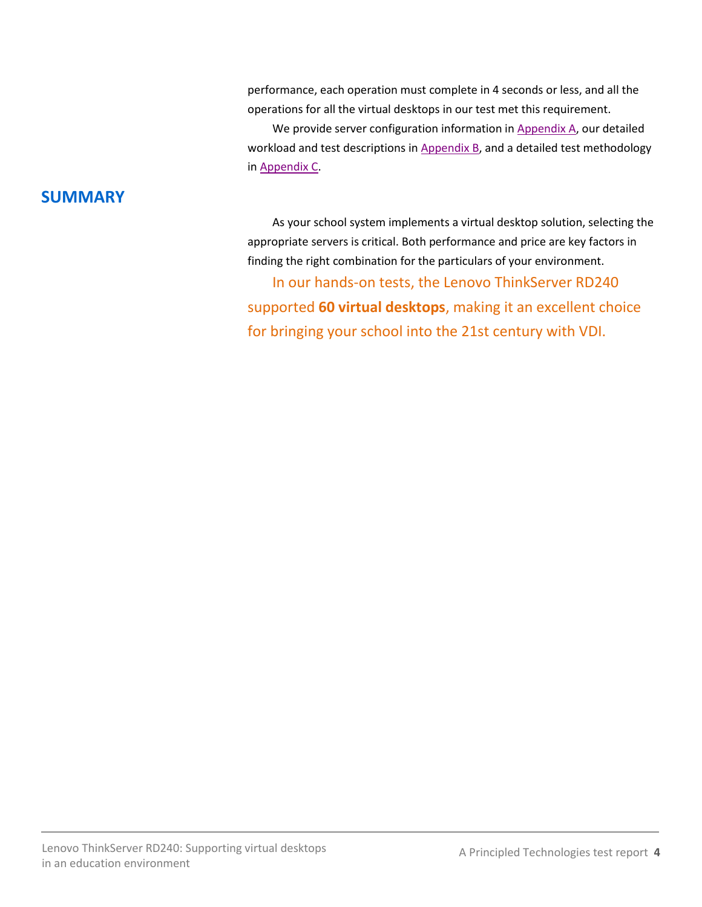performance, each operation must complete in 4 seconds or less, and all the operations for all the virtual desktops in our test met this requirement.

We provide server configuration information in [Appendix A,](#page-4-0) our detailed workload and test descriptions in [Appendix B,](#page-7-0) and a detailed test methodology in [Appendix C.](#page-8-0)

# **SUMMARY**

As your school system implements a virtual desktop solution, selecting the appropriate servers is critical. Both performance and price are key factors in finding the right combination for the particulars of your environment.

In our hands-on tests, the Lenovo ThinkServer RD240 supported **60 virtual desktops**, making it an excellent choice for bringing your school into the 21st century with VDI.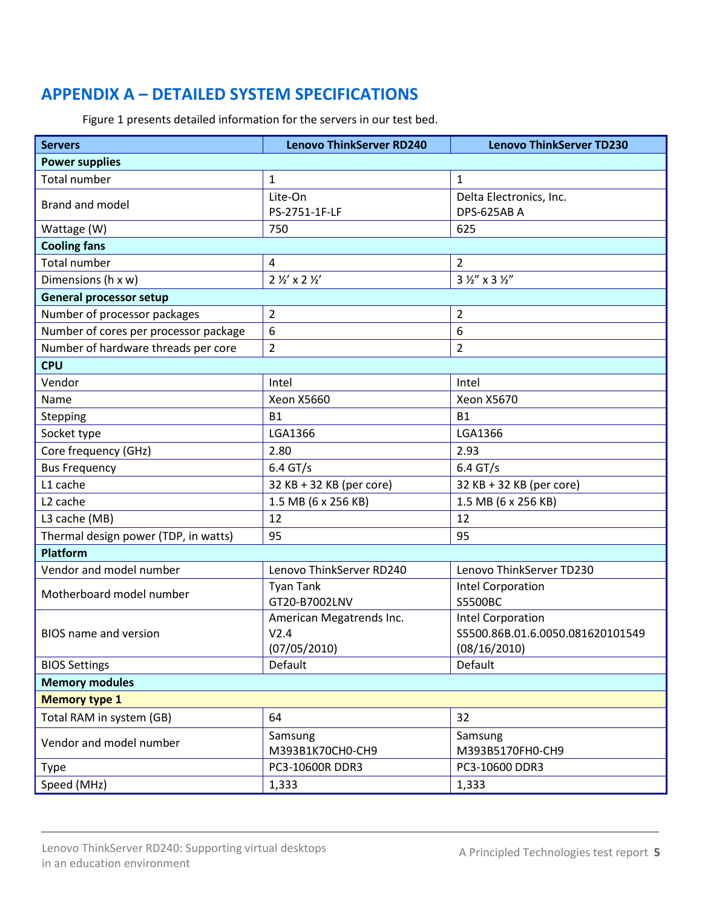# <span id="page-4-0"></span>**APPENDIX A – DETAILED SYSTEM SPECIFICATIONS**

Figure 1 presents detailed information for the servers in our test bed.

| <b>Servers</b>                        | <b>Lenovo ThinkServer RD240</b>  | <b>Lenovo ThinkServer TD230</b>      |  |  |
|---------------------------------------|----------------------------------|--------------------------------------|--|--|
| <b>Power supplies</b>                 |                                  |                                      |  |  |
| <b>Total number</b>                   | $\mathbf{1}$                     | $\mathbf{1}$                         |  |  |
| <b>Brand and model</b>                | Lite-On                          | Delta Electronics, Inc.              |  |  |
|                                       | PS-2751-1F-LF                    | DPS-625AB A                          |  |  |
| Wattage (W)                           | 750                              | 625                                  |  |  |
| <b>Cooling fans</b>                   |                                  |                                      |  |  |
| <b>Total number</b>                   | $\overline{4}$                   | $\overline{2}$                       |  |  |
| Dimensions (h x w)                    | $2\frac{1}{2}$ x 2 $\frac{1}{2}$ | $3\frac{1}{2}$ " x 3 $\frac{1}{2}$ " |  |  |
| <b>General processor setup</b>        |                                  |                                      |  |  |
| Number of processor packages          | $\overline{2}$                   | $\overline{2}$                       |  |  |
| Number of cores per processor package | 6                                | 6                                    |  |  |
| Number of hardware threads per core   | $\overline{2}$                   | 2                                    |  |  |
| <b>CPU</b>                            |                                  |                                      |  |  |
| Vendor                                | Intel                            | Intel                                |  |  |
| Name                                  | <b>Xeon X5660</b>                | <b>Xeon X5670</b>                    |  |  |
| Stepping                              | <b>B1</b>                        | <b>B1</b>                            |  |  |
| Socket type                           | LGA1366                          | LGA1366                              |  |  |
| Core frequency (GHz)                  | 2.80                             | 2.93                                 |  |  |
| <b>Bus Frequency</b>                  | $6.4$ GT/s                       | $6.4$ GT/s                           |  |  |
| L1 cache                              | 32 KB + 32 KB (per core)         | 32 KB + 32 KB (per core)             |  |  |
| L <sub>2</sub> cache                  | 1.5 MB (6 x 256 KB)              | 1.5 MB (6 x 256 KB)                  |  |  |
| L3 cache (MB)                         | 12                               | 12                                   |  |  |
| Thermal design power (TDP, in watts)  | 95                               | 95                                   |  |  |
| <b>Platform</b>                       |                                  |                                      |  |  |
| Vendor and model number               | Lenovo ThinkServer RD240         | Lenovo ThinkServer TD230             |  |  |
| Motherboard model number              | <b>Tyan Tank</b>                 | Intel Corporation                    |  |  |
|                                       | GT20-B7002LNV                    | <b>S5500BC</b>                       |  |  |
| <b>BIOS</b> name and version          | American Megatrends Inc.         | <b>Intel Corporation</b>             |  |  |
|                                       | V2.4                             | S5500.86B.01.6.0050.081620101549     |  |  |
|                                       | (07/05/2010)                     | (08/16/2010)                         |  |  |
| <b>BIOS Settings</b>                  | Default                          | Default                              |  |  |
| <b>Memory modules</b>                 |                                  |                                      |  |  |
| <b>Memory type 1</b>                  |                                  |                                      |  |  |
| Total RAM in system (GB)              | 64                               | 32                                   |  |  |
| Vendor and model number               | Samsung                          | Samsung                              |  |  |
|                                       | M393B1K70CH0-CH9                 | M393B5170FH0-CH9                     |  |  |
| Type                                  | PC3-10600R DDR3                  | PC3-10600 DDR3                       |  |  |
| Speed (MHz)                           | 1,333                            | 1,333                                |  |  |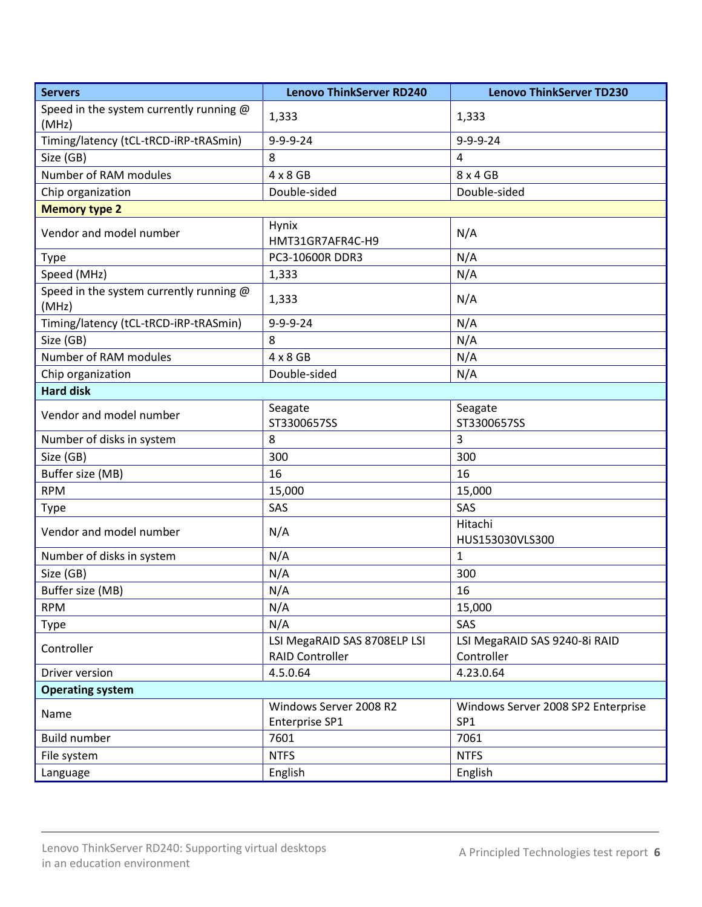| <b>Servers</b>                                   | <b>Lenovo ThinkServer RD240</b>                        | <b>Lenovo ThinkServer TD230</b>                       |  |  |
|--------------------------------------------------|--------------------------------------------------------|-------------------------------------------------------|--|--|
| Speed in the system currently running @          | 1,333                                                  | 1,333                                                 |  |  |
| (MHz)                                            |                                                        |                                                       |  |  |
| Timing/latency (tCL-tRCD-iRP-tRASmin)            | $9 - 9 - 9 - 24$                                       | $9 - 9 - 9 - 24$                                      |  |  |
| Size (GB)                                        | 8                                                      | 4                                                     |  |  |
| Number of RAM modules                            | $4 \times 8$ GB                                        | 8 x 4 GB                                              |  |  |
| Chip organization                                | Double-sided                                           | Double-sided                                          |  |  |
| <b>Memory type 2</b>                             |                                                        |                                                       |  |  |
| Vendor and model number                          | Hynix<br>HMT31GR7AFR4C-H9                              | N/A                                                   |  |  |
| Type                                             | PC3-10600R DDR3                                        | N/A                                                   |  |  |
| Speed (MHz)                                      | 1,333                                                  | N/A                                                   |  |  |
| Speed in the system currently running @<br>(MHz) | 1,333                                                  | N/A                                                   |  |  |
| Timing/latency (tCL-tRCD-iRP-tRASmin)            | $9 - 9 - 9 - 24$                                       | N/A                                                   |  |  |
| Size (GB)                                        | 8                                                      | N/A                                                   |  |  |
| Number of RAM modules                            | $4 \times 8$ GB                                        | N/A                                                   |  |  |
| Chip organization                                | Double-sided                                           | N/A                                                   |  |  |
| <b>Hard disk</b>                                 |                                                        |                                                       |  |  |
| Vendor and model number                          | Seagate<br>ST3300657SS                                 | Seagate<br>ST3300657SS                                |  |  |
| Number of disks in system                        | 8                                                      | 3                                                     |  |  |
| Size (GB)                                        | 300                                                    | 300                                                   |  |  |
| Buffer size (MB)                                 | 16                                                     | 16                                                    |  |  |
| <b>RPM</b>                                       | 15,000                                                 | 15,000                                                |  |  |
| <b>Type</b>                                      | SAS                                                    | SAS                                                   |  |  |
| Vendor and model number                          | N/A                                                    | Hitachi<br>HUS153030VLS300                            |  |  |
| Number of disks in system                        | N/A                                                    | 1                                                     |  |  |
| Size (GB)                                        | N/A                                                    | 300                                                   |  |  |
| Buffer size (MB)                                 | N/A                                                    | 16                                                    |  |  |
| <b>RPM</b>                                       | N/A                                                    | 15,000                                                |  |  |
| Type                                             | N/A                                                    | SAS                                                   |  |  |
| Controller                                       | LSI MegaRAID SAS 8708ELP LSI<br><b>RAID Controller</b> | LSI MegaRAID SAS 9240-8i RAID<br>Controller           |  |  |
| Driver version                                   | 4.5.0.64                                               | 4.23.0.64                                             |  |  |
| <b>Operating system</b>                          |                                                        |                                                       |  |  |
| Name                                             | Windows Server 2008 R2                                 | Windows Server 2008 SP2 Enterprise<br>SP <sub>1</sub> |  |  |
| <b>Build number</b>                              | Enterprise SP1<br>7601                                 | 7061                                                  |  |  |
|                                                  | <b>NTFS</b>                                            | <b>NTFS</b>                                           |  |  |
| File system                                      |                                                        |                                                       |  |  |
| Language                                         | English                                                | English                                               |  |  |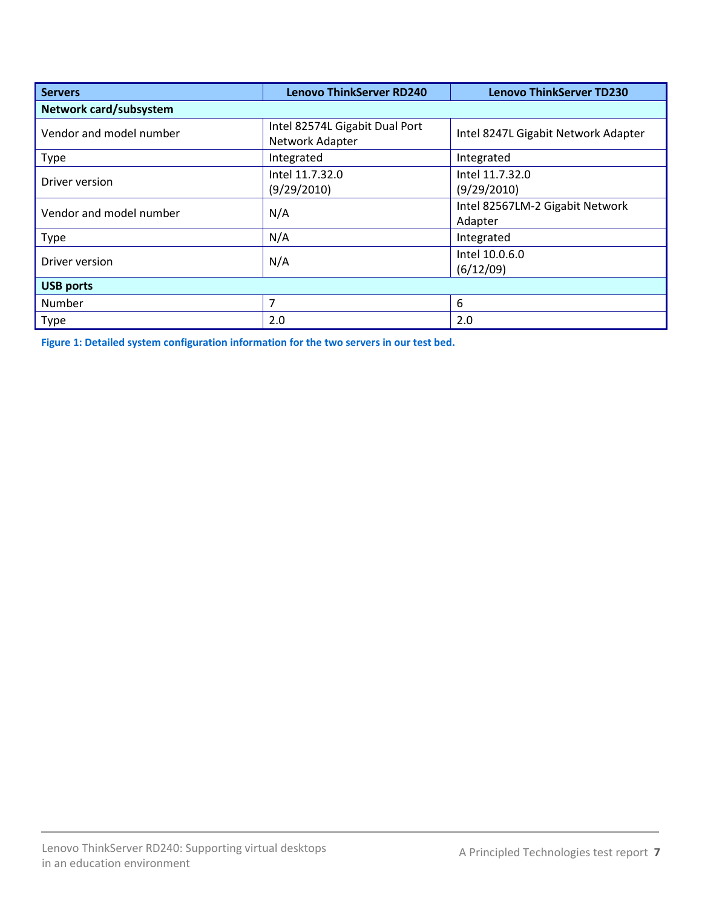| <b>Servers</b>          | <b>Lenovo ThinkServer RD240</b>                   | <b>Lenovo ThinkServer TD230</b>            |  |  |
|-------------------------|---------------------------------------------------|--------------------------------------------|--|--|
| Network card/subsystem  |                                                   |                                            |  |  |
| Vendor and model number | Intel 82574L Gigabit Dual Port<br>Network Adapter | Intel 8247L Gigabit Network Adapter        |  |  |
| Type                    | Integrated                                        | Integrated                                 |  |  |
| Driver version          | Intel 11.7.32.0<br>(9/29/2010)                    | Intel 11.7.32.0<br>(9/29/2010)             |  |  |
| Vendor and model number | N/A                                               | Intel 82567LM-2 Gigabit Network<br>Adapter |  |  |
| <b>Type</b>             | N/A                                               | Integrated                                 |  |  |
| Driver version          | N/A                                               | Intel 10.0.6.0<br>(6/12/09)                |  |  |
| <b>USB ports</b>        |                                                   |                                            |  |  |
| Number                  | 7                                                 | 6                                          |  |  |
| Type                    | 2.0                                               | 2.0                                        |  |  |

**Figure 1: Detailed system configuration information for the two servers in our test bed.**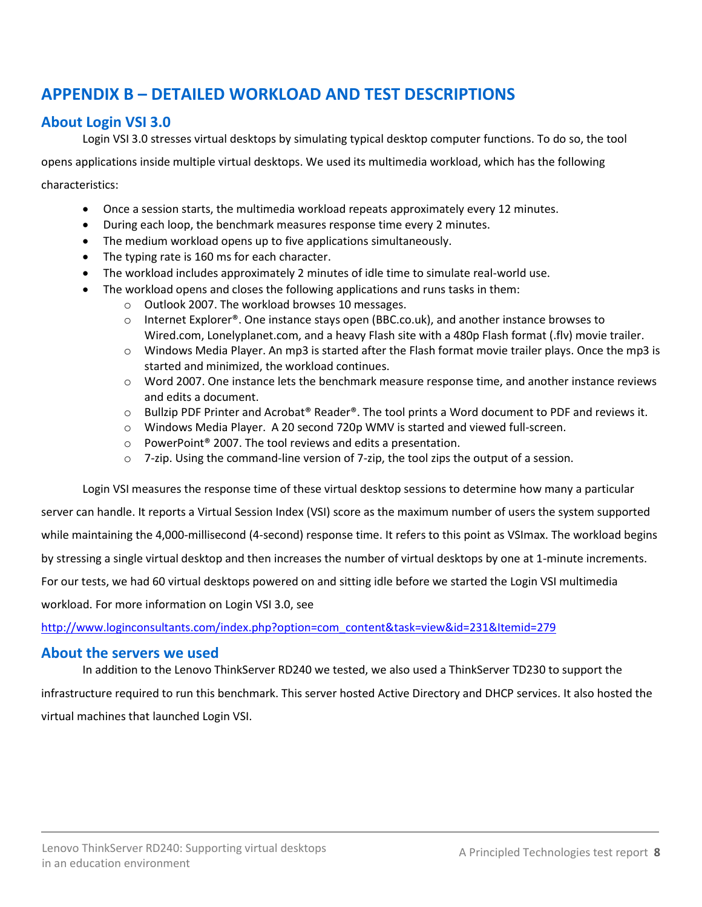# <span id="page-7-0"></span>**APPENDIX B – DETAILED WORKLOAD AND TEST DESCRIPTIONS**

# **About Login VSI 3.0**

Login VSI 3.0 stresses virtual desktops by simulating typical desktop computer functions. To do so, the tool

opens applications inside multiple virtual desktops. We used its multimedia workload, which has the following

characteristics:

- Once a session starts, the multimedia workload repeats approximately every 12 minutes.
- During each loop, the benchmark measures response time every 2 minutes.
- The medium workload opens up to five applications simultaneously.
- The typing rate is 160 ms for each character.
- The workload includes approximately 2 minutes of idle time to simulate real-world use.
- The workload opens and closes the following applications and runs tasks in them:
	- o Outlook 2007. The workload browses 10 messages.
	- $\circ$  Internet Explorer®. One instance stays open (BBC.co.uk), and another instance browses to Wired.com, Lonelyplanet.com, and a heavy Flash site with a 480p Flash format (.flv) movie trailer.
	- $\circ$  Windows Media Player. An mp3 is started after the Flash format movie trailer plays. Once the mp3 is started and minimized, the workload continues.
	- o Word 2007. One instance lets the benchmark measure response time, and another instance reviews and edits a document.
	- $\circ$  Bullzip PDF Printer and Acrobat® Reader®. The tool prints a Word document to PDF and reviews it.
	- o Windows Media Player. A 20 second 720p WMV is started and viewed full-screen.
	- o PowerPoint® 2007. The tool reviews and edits a presentation.
	- $\circ$  7-zip. Using the command-line version of 7-zip, the tool zips the output of a session.

Login VSI measures the response time of these virtual desktop sessions to determine how many a particular server can handle. It reports a Virtual Session Index (VSI) score as the maximum number of users the system supported while maintaining the 4,000-millisecond (4-second) response time. It refers to this point as VSImax. The workload begins by stressing a single virtual desktop and then increases the number of virtual desktops by one at 1-minute increments. For our tests, we had 60 virtual desktops powered on and sitting idle before we started the Login VSI multimedia workload. For more information on Login VSI 3.0, see

[http://www.loginconsultants.com/index.php?option=com\\_content&task=view&id=231&Itemid=279](http://www.loginconsultants.com/index.php?option=com_content&task=view&id=231&Itemid=279)

### **About the servers we used**

In addition to the Lenovo ThinkServer RD240 we tested, we also used a ThinkServer TD230 to support the infrastructure required to run this benchmark. This server hosted Active Directory and DHCP services. It also hosted the virtual machines that launched Login VSI.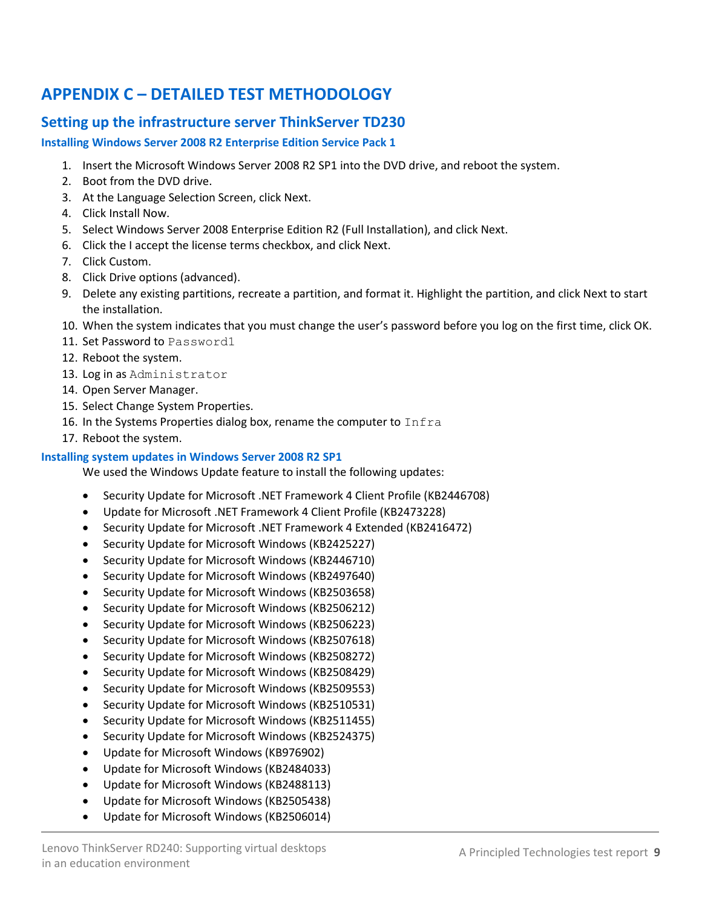# <span id="page-8-0"></span>**APPENDIX C – DETAILED TEST METHODOLOGY**

# **Setting up the infrastructure server ThinkServer TD230**

#### **Installing Windows Server 2008 R2 Enterprise Edition Service Pack 1**

- 1. Insert the Microsoft Windows Server 2008 R2 SP1 into the DVD drive, and reboot the system.
- 2. Boot from the DVD drive.
- 3. At the Language Selection Screen, click Next.
- 4. Click Install Now.
- 5. Select Windows Server 2008 Enterprise Edition R2 (Full Installation), and click Next.
- 6. Click the I accept the license terms checkbox, and click Next.
- 7. Click Custom.
- 8. Click Drive options (advanced).
- 9. Delete any existing partitions, recreate a partition, and format it. Highlight the partition, and click Next to start the installation.
- 10. When the system indicates that you must change the user's password before you log on the first time, click OK.
- 11. Set Password to Password1
- 12. Reboot the system.
- 13. Log in as Administrator
- 14. Open Server Manager.
- 15. Select Change System Properties.
- 16. In the Systems Properties dialog box, rename the computer to Infra
- 17. Reboot the system.

#### **Installing system updates in Windows Server 2008 R2 SP1**

We used the Windows Update feature to install the following updates:

- Security Update for Microsoft .NET Framework 4 Client Profile (KB2446708)
- Update for Microsoft .NET Framework 4 Client Profile (KB2473228)
- Security Update for Microsoft .NET Framework 4 Extended (KB2416472)
- Security Update for Microsoft Windows (KB2425227)
- Security Update for Microsoft Windows (KB2446710)
- Security Update for Microsoft Windows (KB2497640)
- Security Update for Microsoft Windows (KB2503658)
- Security Update for Microsoft Windows (KB2506212)
- Security Update for Microsoft Windows (KB2506223)
- Security Update for Microsoft Windows (KB2507618)
- Security Update for Microsoft Windows (KB2508272)
- Security Update for Microsoft Windows (KB2508429)
- Security Update for Microsoft Windows (KB2509553)
- Security Update for Microsoft Windows (KB2510531)
- Security Update for Microsoft Windows (KB2511455)
- Security Update for Microsoft Windows (KB2524375)
- Update for Microsoft Windows (KB976902)
- Update for Microsoft Windows (KB2484033)
- Update for Microsoft Windows (KB2488113)
- Update for Microsoft Windows (KB2505438)
- Update for Microsoft Windows (KB2506014)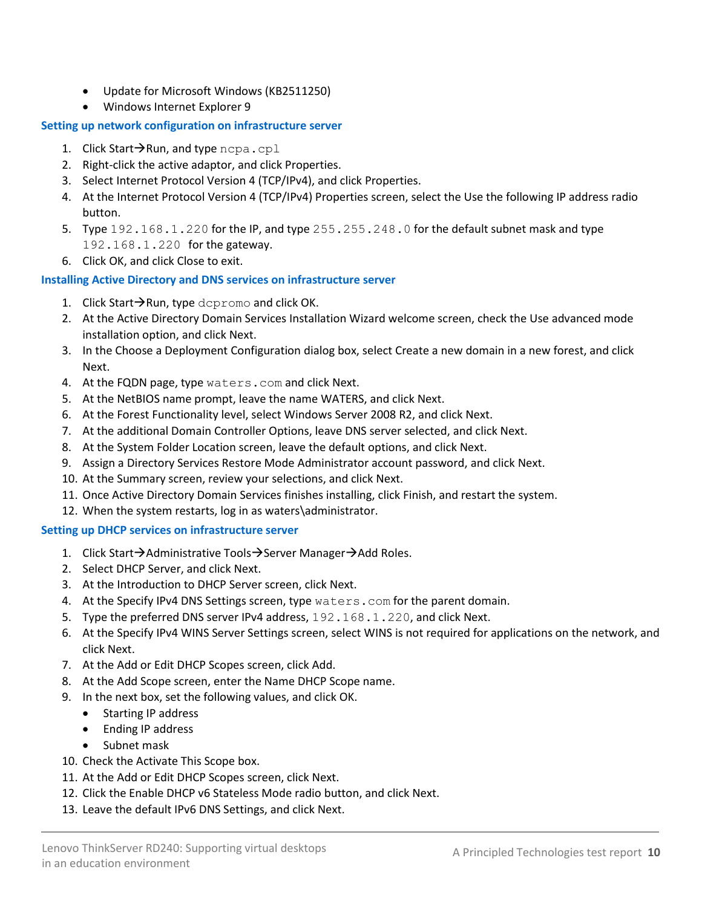- Update for Microsoft Windows (KB2511250)
- Windows Internet Explorer 9

#### **Setting up network configuration on infrastructure server**

- 1. Click Start $\rightarrow$ Run, and type ncpa.cpl
- 2. Right-click the active adaptor, and click Properties.
- 3. Select Internet Protocol Version 4 (TCP/IPv4), and click Properties.
- 4. At the Internet Protocol Version 4 (TCP/IPv4) Properties screen, select the Use the following IP address radio button.
- 5. Type 192.168.1.220 for the IP, and type 255.255.248.0 for the default subnet mask and type 192.168.1.220 for the gateway.
- 6. Click OK, and click Close to exit.

#### **Installing Active Directory and DNS services on infrastructure server**

- 1. Click Start $\rightarrow$ Run, type dcpromo and click OK.
- 2. At the Active Directory Domain Services Installation Wizard welcome screen, check the Use advanced mode installation option, and click Next.
- 3. In the Choose a Deployment Configuration dialog box, select Create a new domain in a new forest, and click Next.
- 4. At the FQDN page, type waters.com and click Next.
- 5. At the NetBIOS name prompt, leave the name WATERS, and click Next.
- 6. At the Forest Functionality level, select Windows Server 2008 R2, and click Next.
- 7. At the additional Domain Controller Options, leave DNS server selected, and click Next.
- 8. At the System Folder Location screen, leave the default options, and click Next.
- 9. Assign a Directory Services Restore Mode Administrator account password, and click Next.
- 10. At the Summary screen, review your selections, and click Next.
- 11. Once Active Directory Domain Services finishes installing, click Finish, and restart the system.
- 12. When the system restarts, log in as waters\administrator.

#### **Setting up DHCP services on infrastructure server**

- 1. Click Start $\rightarrow$ Administrative Tools $\rightarrow$ Server Manager $\rightarrow$ Add Roles.
- 2. Select DHCP Server, and click Next.
- 3. At the Introduction to DHCP Server screen, click Next.
- 4. At the Specify IPv4 DNS Settings screen, type waters.com for the parent domain.
- 5. Type the preferred DNS server IPv4 address, 192.168.1.220, and click Next.
- 6. At the Specify IPv4 WINS Server Settings screen, select WINS is not required for applications on the network, and click Next.
- 7. At the Add or Edit DHCP Scopes screen, click Add.
- 8. At the Add Scope screen, enter the Name DHCP Scope name.
- 9. In the next box, set the following values, and click OK.
	- Starting IP address
	- Ending IP address
	- Subnet mask
- 10. Check the Activate This Scope box.
- 11. At the Add or Edit DHCP Scopes screen, click Next.
- 12. Click the Enable DHCP v6 Stateless Mode radio button, and click Next.
- 13. Leave the default IPv6 DNS Settings, and click Next.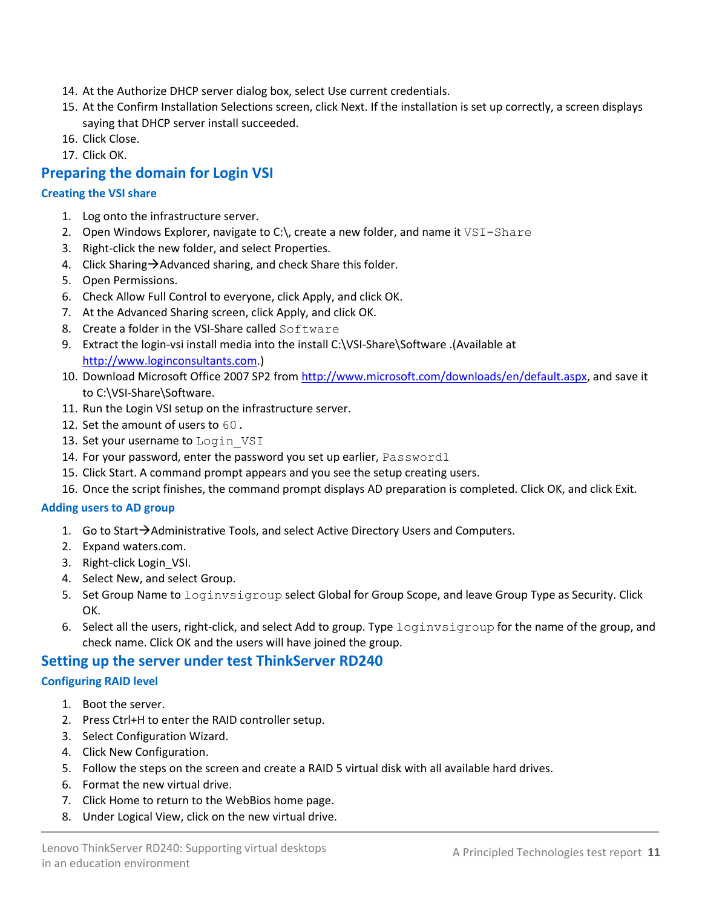- 14. At the Authorize DHCP server dialog box, select Use current credentials.
- 15. At the Confirm Installation Selections screen, click Next. If the installation is set up correctly, a screen displays saying that DHCP server install succeeded.
- 16. Click Close.
- 17. Click OK.

# **Preparing the domain for Login VSI**

#### **Creating the VSI share**

- 1. Log onto the infrastructure server.
- 2. Open Windows Explorer, navigate to C: $\setminus$  create a new folder, and name it  $VSI-Shaze$
- 3. Right-click the new folder, and select Properties.
- 4. Click Sharing $\rightarrow$ Advanced sharing, and check Share this folder.
- 5. Open Permissions.
- 6. Check Allow Full Control to everyone, click Apply, and click OK.
- 7. At the Advanced Sharing screen, click Apply, and click OK.
- 8. Create a folder in the VSI-Share called Software
- 9. Extract the login-vsi install media into the install C:\VSI-Share\Software .(Available at [http://www.loginconsultants.com.](http://www.loginconsultants.com/))
- 10. Download Microsoft Office 2007 SP2 from [http://www.microsoft.com/downloads/en/default.aspx,](http://www.microsoft.com/downloads/en/default.aspx) and save it to C:\VSI-Share\Software.
- 11. Run the Login VSI setup on the infrastructure server.
- 12. Set the amount of users to 60.
- 13. Set your username to Login VSI
- 14. For your password, enter the password you set up earlier, Password1
- 15. Click Start. A command prompt appears and you see the setup creating users.
- 16. Once the script finishes, the command prompt displays AD preparation is completed. Click OK, and click Exit.

#### **Adding users to AD group**

- 1. Go to Start $\rightarrow$  Administrative Tools, and select Active Directory Users and Computers.
- 2. Expand waters.com.
- 3. Right-click Login\_VSI.
- 4. Select New, and select Group.
- 5. Set Group Name to loginvsigroup select Global for Group Scope, and leave Group Type as Security. Click OK.
- 6. Select all the users, right-click, and select Add to group. Type loginvsigroup for the name of the group, and check name. Click OK and the users will have joined the group.

### **Setting up the server under test ThinkServer RD240**

#### **Configuring RAID level**

- 1. Boot the server.
- 2. Press Ctrl+H to enter the RAID controller setup.
- 3. Select Configuration Wizard.
- 4. Click New Configuration.
- 5. Follow the steps on the screen and create a RAID 5 virtual disk with all available hard drives.
- 6. Format the new virtual drive.
- 7. Click Home to return to the WebBios home page.
- 8. Under Logical View, click on the new virtual drive.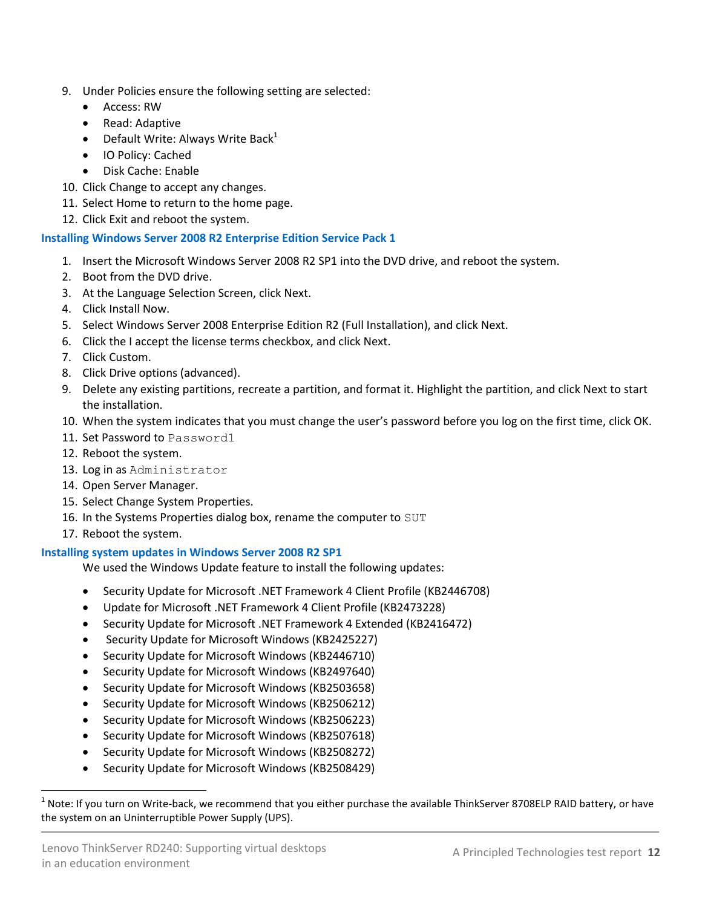- 9. Under Policies ensure the following setting are selected:
	- Access: RW
	- Read: Adaptive
	- Default Write: Always Write Back<sup>1</sup>
	- IO Policy: Cached
	- Disk Cache: Enable
- 10. Click Change to accept any changes.
- 11. Select Home to return to the home page.
- 12. Click Exit and reboot the system.

#### **Installing Windows Server 2008 R2 Enterprise Edition Service Pack 1**

- 1. Insert the Microsoft Windows Server 2008 R2 SP1 into the DVD drive, and reboot the system.
- 2. Boot from the DVD drive.
- 3. At the Language Selection Screen, click Next.
- 4. Click Install Now.
- 5. Select Windows Server 2008 Enterprise Edition R2 (Full Installation), and click Next.
- 6. Click the I accept the license terms checkbox, and click Next.
- 7. Click Custom.
- 8. Click Drive options (advanced).
- 9. Delete any existing partitions, recreate a partition, and format it. Highlight the partition, and click Next to start the installation.
- 10. When the system indicates that you must change the user's password before you log on the first time, click OK.
- 11. Set Password to Password1
- 12. Reboot the system.
- 13. Log in as Administrator
- 14. Open Server Manager.
- 15. Select Change System Properties.
- 16. In the Systems Properties dialog box, rename the computer to SUT
- 17. Reboot the system.

l

#### **Installing system updates in Windows Server 2008 R2 SP1**

We used the Windows Update feature to install the following updates:

- Security Update for Microsoft .NET Framework 4 Client Profile (KB2446708)
- Update for Microsoft .NET Framework 4 Client Profile (KB2473228)
- Security Update for Microsoft .NET Framework 4 Extended (KB2416472)
- Security Update for Microsoft Windows (KB2425227)
- Security Update for Microsoft Windows (KB2446710)
- Security Update for Microsoft Windows (KB2497640)
- Security Update for Microsoft Windows (KB2503658)
- Security Update for Microsoft Windows (KB2506212)
- Security Update for Microsoft Windows (KB2506223)
- Security Update for Microsoft Windows (KB2507618)
- Security Update for Microsoft Windows (KB2508272)
- Security Update for Microsoft Windows (KB2508429)

 $^1$  Note: If you turn on Write-back, we recommend that you either purchase the available ThinkServer 8708ELP RAID battery, or have the system on an Uninterruptible Power Supply (UPS).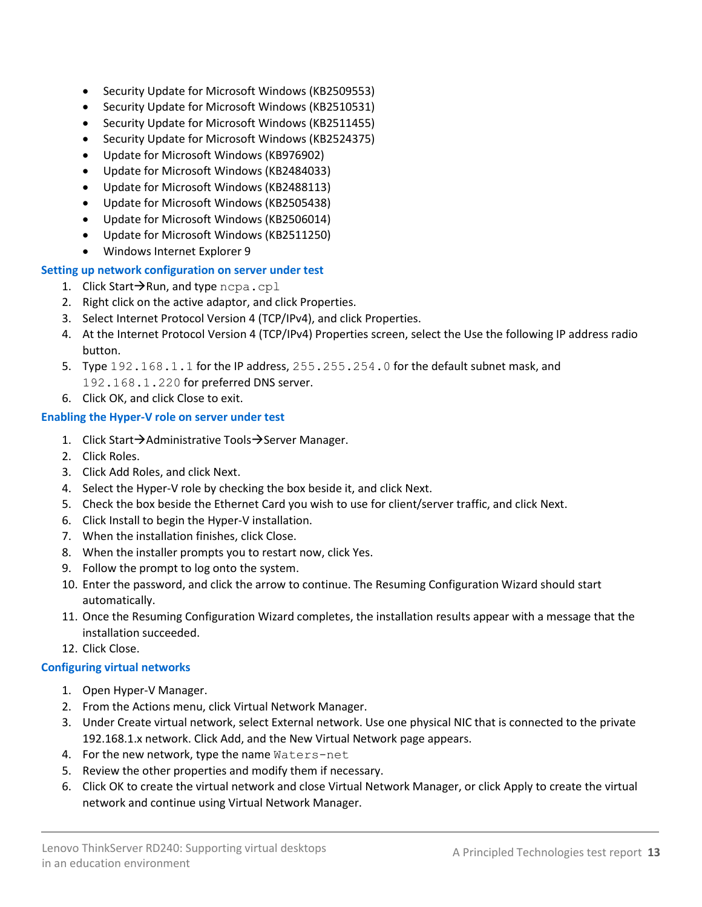- Security Update for Microsoft Windows (KB2509553)
- Security Update for Microsoft Windows (KB2510531)
- Security Update for Microsoft Windows (KB2511455)
- Security Update for Microsoft Windows (KB2524375)
- Update for Microsoft Windows (KB976902)
- Update for Microsoft Windows (KB2484033)
- Update for Microsoft Windows (KB2488113)
- Update for Microsoft Windows (KB2505438)
- Update for Microsoft Windows (KB2506014)
- Update for Microsoft Windows (KB2511250)
- Windows Internet Explorer 9

#### **Setting up network configuration on server under test**

- 1. Click Start $\rightarrow$ Run, and type ncpa.cpl
- 2. Right click on the active adaptor, and click Properties.
- 3. Select Internet Protocol Version 4 (TCP/IPv4), and click Properties.
- 4. At the Internet Protocol Version 4 (TCP/IPv4) Properties screen, select the Use the following IP address radio button.
- 5. Type 192.168.1.1 for the IP address, 255.255.254.0 for the default subnet mask, and 192.168.1.220 for preferred DNS server.
- 6. Click OK, and click Close to exit.

#### **Enabling the Hyper-V role on server under test**

- 1. Click Start $\rightarrow$ Administrative Tools $\rightarrow$ Server Manager.
- 2. Click Roles.
- 3. Click Add Roles, and click Next.
- 4. Select the Hyper-V role by checking the box beside it, and click Next.
- 5. Check the box beside the Ethernet Card you wish to use for client/server traffic, and click Next.
- 6. Click Install to begin the Hyper-V installation.
- 7. When the installation finishes, click Close.
- 8. When the installer prompts you to restart now, click Yes.
- 9. Follow the prompt to log onto the system.
- 10. Enter the password, and click the arrow to continue. The Resuming Configuration Wizard should start automatically.
- 11. Once the Resuming Configuration Wizard completes, the installation results appear with a message that the installation succeeded.
- 12. Click Close.

#### **Configuring virtual networks**

- 1. Open Hyper-V Manager.
- 2. From the Actions menu, click Virtual Network Manager.
- 3. Under Create virtual network, select External network. Use one physical NIC that is connected to the private 192.168.1.x network. Click Add, and the New Virtual Network page appears.
- 4. For the new network, type the name Waters-net
- 5. Review the other properties and modify them if necessary.
- 6. Click OK to create the virtual network and close Virtual Network Manager, or click Apply to create the virtual network and continue using Virtual Network Manager.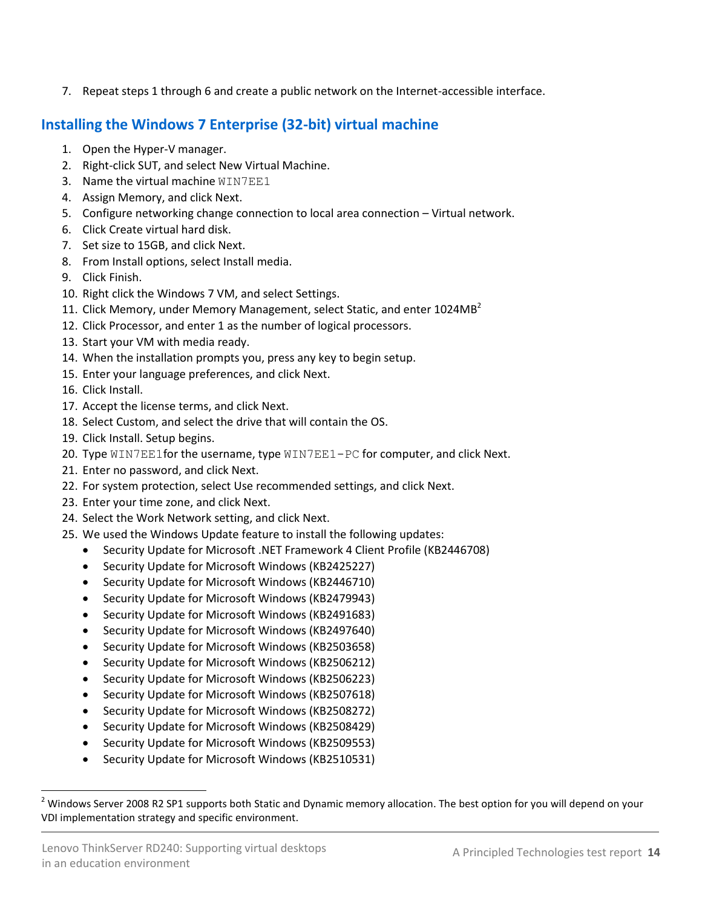7. Repeat steps 1 through 6 and create a public network on the Internet-accessible interface.

# **Installing the Windows 7 Enterprise (32-bit) virtual machine**

- 1. Open the Hyper-V manager.
- 2. Right-click SUT, and select New Virtual Machine.
- 3. Name the virtual machine WIN7EE1
- 4. Assign Memory, and click Next.
- 5. Configure networking change connection to local area connection Virtual network.
- 6. Click Create virtual hard disk.
- 7. Set size to 15GB, and click Next.
- 8. From Install options, select Install media.
- 9. Click Finish.
- 10. Right click the Windows 7 VM, and select Settings.
- 11. Click Memory, under Memory Management, select Static, and enter 1024MB<sup>2</sup>
- 12. Click Processor, and enter 1 as the number of logical processors.
- 13. Start your VM with media ready.
- 14. When the installation prompts you, press any key to begin setup.
- 15. Enter your language preferences, and click Next.
- 16. Click Install.
- 17. Accept the license terms, and click Next.
- 18. Select Custom, and select the drive that will contain the OS.
- 19. Click Install. Setup begins.
- 20. Type WIN7EE1for the username, type WIN7EE1-PC for computer, and click Next.
- 21. Enter no password, and click Next.
- 22. For system protection, select Use recommended settings, and click Next.
- 23. Enter your time zone, and click Next.
- 24. Select the Work Network setting, and click Next.
- 25. We used the Windows Update feature to install the following updates:
	- Security Update for Microsoft .NET Framework 4 Client Profile (KB2446708)
	- Security Update for Microsoft Windows (KB2425227)
	- Security Update for Microsoft Windows (KB2446710)
	- Security Update for Microsoft Windows (KB2479943)
	- Security Update for Microsoft Windows (KB2491683)
	- Security Update for Microsoft Windows (KB2497640)
	- Security Update for Microsoft Windows (KB2503658)
	- Security Update for Microsoft Windows (KB2506212)
	- Security Update for Microsoft Windows (KB2506223)
	- Security Update for Microsoft Windows (KB2507618)
	- Security Update for Microsoft Windows (KB2508272)
	- Security Update for Microsoft Windows (KB2508429)
	- Security Update for Microsoft Windows (KB2509553)
	- Security Update for Microsoft Windows (KB2510531)

l <sup>2</sup> Windows Server 2008 R2 SP1 supports both Static and Dynamic memory allocation. The best option for you will depend on your VDI implementation strategy and specific environment.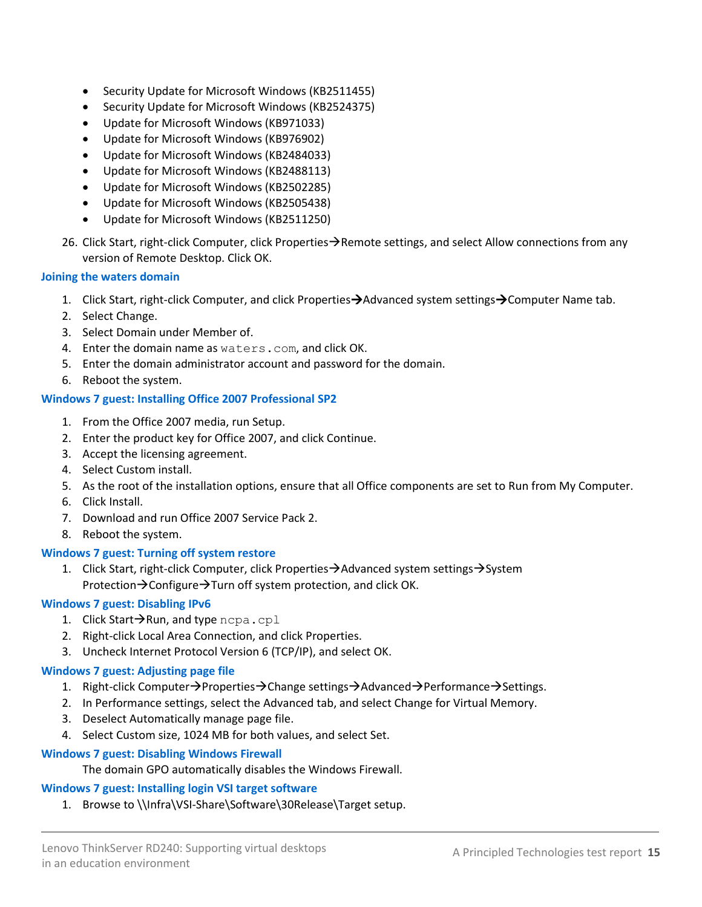- Security Update for Microsoft Windows (KB2511455)
- Security Update for Microsoft Windows (KB2524375)
- Update for Microsoft Windows (KB971033)
- Update for Microsoft Windows (KB976902)
- Update for Microsoft Windows (KB2484033)
- Update for Microsoft Windows (KB2488113)
- Update for Microsoft Windows (KB2502285)
- Update for Microsoft Windows (KB2505438)
- Update for Microsoft Windows (KB2511250)
- 26. Click Start, right-click Computer, click Properties $\rightarrow$ Remote settings, and select Allow connections from any version of Remote Desktop. Click OK.

#### **Joining the waters domain**

- 1. Click Start, right-click Computer, and click Properties $\rightarrow$ Advanced system settings $\rightarrow$ Computer Name tab.
- 2. Select Change.
- 3. Select Domain under Member of.
- 4. Enter the domain name as waters.com, and click OK.
- 5. Enter the domain administrator account and password for the domain.
- 6. Reboot the system.

#### **Windows 7 guest: Installing Office 2007 Professional SP2**

- 1. From the Office 2007 media, run Setup.
- 2. Enter the product key for Office 2007, and click Continue.
- 3. Accept the licensing agreement.
- 4. Select Custom install.
- 5. As the root of the installation options, ensure that all Office components are set to Run from My Computer.
- 6. Click Install.
- 7. Download and run Office 2007 Service Pack 2.
- 8. Reboot the system.

#### **Windows 7 guest: Turning off system restore**

1. Click Start, right-click Computer, click Properties $\rightarrow$ Advanced system settings $\rightarrow$ System Protection $\rightarrow$ Configure $\rightarrow$ Turn off system protection, and click OK.

#### **Windows 7 guest: Disabling IPv6**

- 1. Click Start $\rightarrow$ Run, and type ncpa.cpl
- 2. Right-click Local Area Connection, and click Properties.
- 3. Uncheck Internet Protocol Version 6 (TCP/IP), and select OK.

#### **Windows 7 guest: Adjusting page file**

- 1. Right-click Computer $\rightarrow$ Properties $\rightarrow$ Change settings $\rightarrow$ Advanced $\rightarrow$ Performance $\rightarrow$ Settings.
- 2. In Performance settings, select the Advanced tab, and select Change for Virtual Memory.
- 3. Deselect Automatically manage page file.
- 4. Select Custom size, 1024 MB for both values, and select Set.

#### **Windows 7 guest: Disabling Windows Firewall**

The domain GPO automatically disables the Windows Firewall.

#### **Windows 7 guest: Installing login VSI target software**

1. Browse to \\Infra\VSI-Share\Software\30Release\Target setup.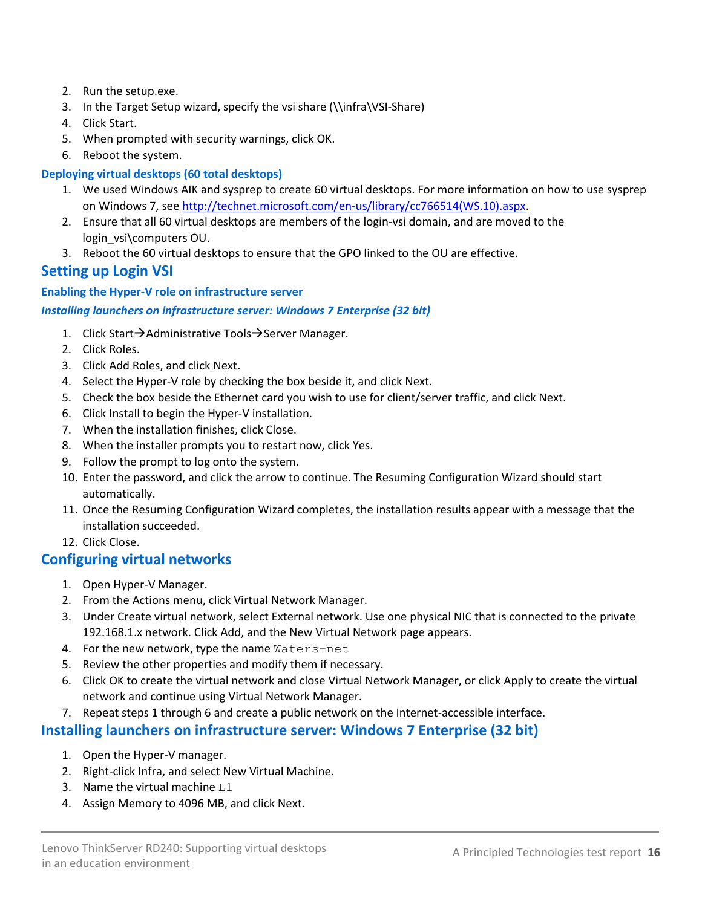- 2. Run the setup.exe.
- 3. In the Target Setup wizard, specify the vsi share (\\infra\VSI-Share)
- 4. Click Start.
- 5. When prompted with security warnings, click OK.
- 6. Reboot the system.

#### **Deploying virtual desktops (60 total desktops)**

- 1. We used Windows AIK and sysprep to create 60 virtual desktops. For more information on how to use sysprep on Windows 7, see [http://technet.microsoft.com/en-us/library/cc766514\(WS.10\).aspx.](http://technet.microsoft.com/en-us/library/cc766514(WS.10).aspx)
- 2. Ensure that all 60 virtual desktops are members of the login-vsi domain, and are moved to the login\_vsi\computers OU.
- 3. Reboot the 60 virtual desktops to ensure that the GPO linked to the OU are effective.

### **Setting up Login VSI**

#### **Enabling the Hyper-V role on infrastructure server**

#### *Installing launchers on infrastructure server: Windows 7 Enterprise (32 bit)*

- 1. Click Start $\rightarrow$ Administrative Tools $\rightarrow$ Server Manager.
- 2. Click Roles.
- 3. Click Add Roles, and click Next.
- 4. Select the Hyper-V role by checking the box beside it, and click Next.
- 5. Check the box beside the Ethernet card you wish to use for client/server traffic, and click Next.
- 6. Click Install to begin the Hyper-V installation.
- 7. When the installation finishes, click Close.
- 8. When the installer prompts you to restart now, click Yes.
- 9. Follow the prompt to log onto the system.
- 10. Enter the password, and click the arrow to continue. The Resuming Configuration Wizard should start automatically.
- 11. Once the Resuming Configuration Wizard completes, the installation results appear with a message that the installation succeeded.
- 12. Click Close.

### **Configuring virtual networks**

- 1. Open Hyper-V Manager.
- 2. From the Actions menu, click Virtual Network Manager.
- 3. Under Create virtual network, select External network. Use one physical NIC that is connected to the private 192.168.1.x network. Click Add, and the New Virtual Network page appears.
- 4. For the new network, type the name Waters-net
- 5. Review the other properties and modify them if necessary.
- 6. Click OK to create the virtual network and close Virtual Network Manager, or click Apply to create the virtual network and continue using Virtual Network Manager.
- 7. Repeat steps 1 through 6 and create a public network on the Internet-accessible interface.

#### **Installing launchers on infrastructure server: Windows 7 Enterprise (32 bit)**

- 1. Open the Hyper-V manager.
- 2. Right-click Infra, and select New Virtual Machine.
- 3. Name the virtual machine L1
- 4. Assign Memory to 4096 MB, and click Next.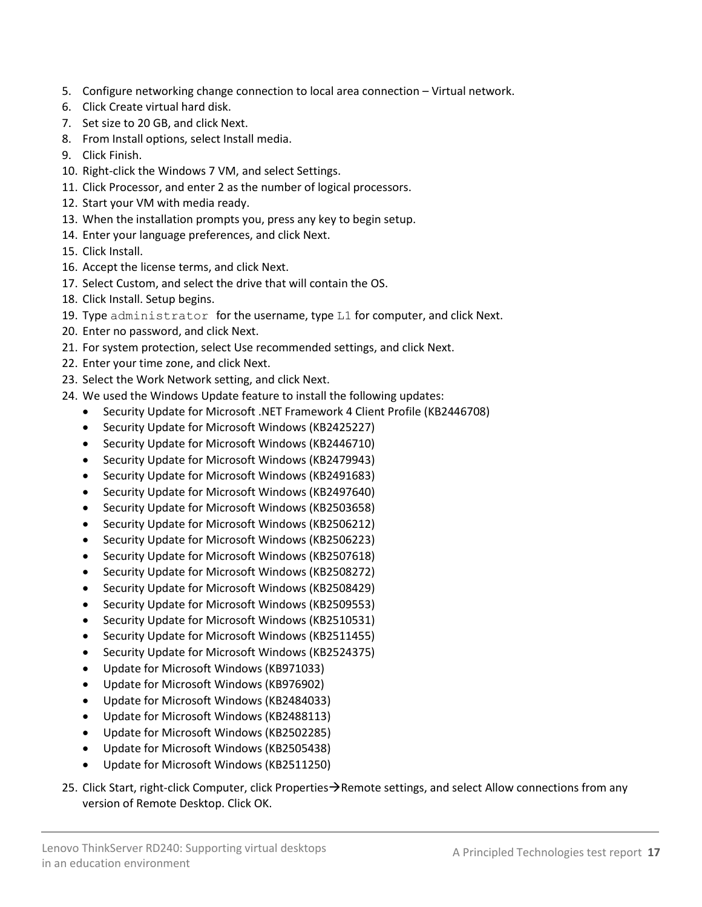- 5. Configure networking change connection to local area connection Virtual network.
- 6. Click Create virtual hard disk.
- 7. Set size to 20 GB, and click Next.
- 8. From Install options, select Install media.
- 9. Click Finish.
- 10. Right-click the Windows 7 VM, and select Settings.
- 11. Click Processor, and enter 2 as the number of logical processors.
- 12. Start your VM with media ready.
- 13. When the installation prompts you, press any key to begin setup.
- 14. Enter your language preferences, and click Next.
- 15. Click Install.
- 16. Accept the license terms, and click Next.
- 17. Select Custom, and select the drive that will contain the OS.
- 18. Click Install. Setup begins.
- 19. Type administrator for the username, type L1 for computer, and click Next.
- 20. Enter no password, and click Next.
- 21. For system protection, select Use recommended settings, and click Next.
- 22. Enter your time zone, and click Next.
- 23. Select the Work Network setting, and click Next.
- 24. We used the Windows Update feature to install the following updates:
	- Security Update for Microsoft .NET Framework 4 Client Profile (KB2446708)
	- Security Update for Microsoft Windows (KB2425227)
	- Security Update for Microsoft Windows (KB2446710)
	- Security Update for Microsoft Windows (KB2479943)
	- Security Update for Microsoft Windows (KB2491683)
	- Security Update for Microsoft Windows (KB2497640)
	- Security Update for Microsoft Windows (KB2503658)
	- Security Update for Microsoft Windows (KB2506212)
	- Security Update for Microsoft Windows (KB2506223)
	- Security Update for Microsoft Windows (KB2507618)
	- Security Update for Microsoft Windows (KB2508272)
	- Security Update for Microsoft Windows (KB2508429)
	- Security Update for Microsoft Windows (KB2509553)
	- Security Update for Microsoft Windows (KB2510531)
	- Security Update for Microsoft Windows (KB2511455)
	- Security Update for Microsoft Windows (KB2524375)
	- Update for Microsoft Windows (KB971033)
	- Update for Microsoft Windows (KB976902)
	- Update for Microsoft Windows (KB2484033)
	- Update for Microsoft Windows (KB2488113)
	- Update for Microsoft Windows (KB2502285)
	- Update for Microsoft Windows (KB2505438)
	- Update for Microsoft Windows (KB2511250)
- 25. Click Start, right-click Computer, click Properties $\rightarrow$ Remote settings, and select Allow connections from any version of Remote Desktop. Click OK.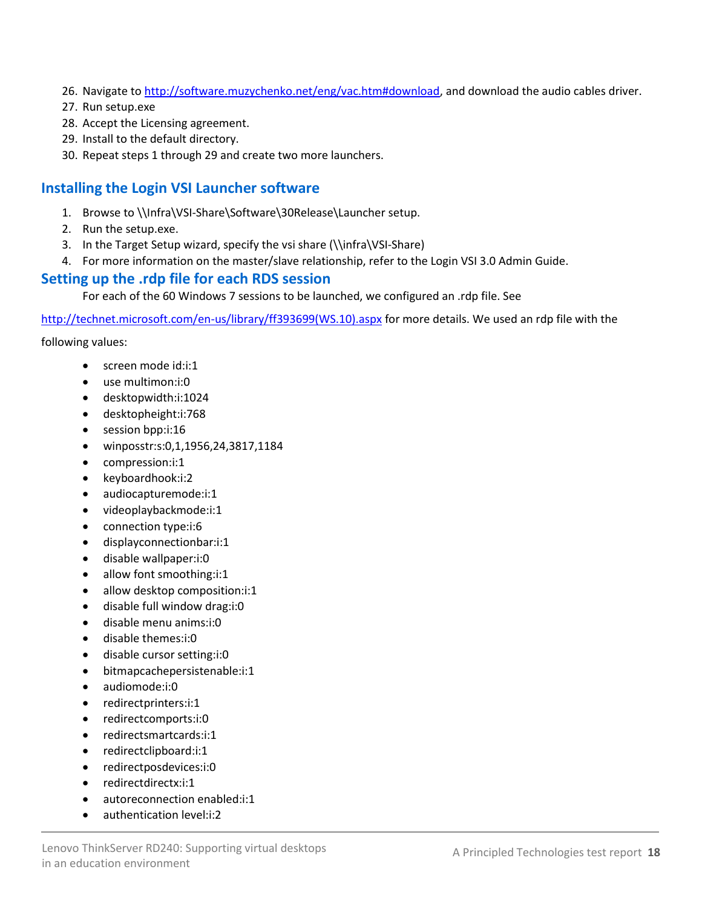- 26. Navigate to [http://software.muzychenko.net/eng/vac.htm#download,](http://software.muzychenko.net/eng/vac.htm#download) and download the audio cables driver.
- 27. Run setup.exe
- 28. Accept the Licensing agreement.
- 29. Install to the default directory.
- 30. Repeat steps 1 through 29 and create two more launchers.

### **Installing the Login VSI Launcher software**

- 1. Browse t[o \\Infra\VSI-Share\Software\30Release\Launcher](file://Infra/VSI-Share/Software/30Release/Launcher) setup.
- 2. Run the setup.exe.
- 3. In the Target Setup wizard, specify the vsi share (\\infra\VSI-Share)
- 4. For more information on the master/slave relationship, refer to the Login VSI 3.0 Admin Guide.

### **Setting up the .rdp file for each RDS session**

For each of the 60 Windows 7 sessions to be launched, we configured an .rdp file. See

[http://technet.microsoft.com/en-us/library/ff393699\(WS.10\).aspx](http://technet.microsoft.com/en-us/library/ff393699(WS.10).aspx) for more details. We used an rdp file with the

following values:

- screen mode id:i:1
- use multimon:i:0
- desktopwidth:i:1024
- desktopheight:i:768
- session bpp:i:16
- winposstr:s:0,1,1956,24,3817,1184
- compression:i:1
- keyboardhook:i:2
- audiocapturemode:i:1
- videoplaybackmode:i:1
- connection type:i:6
- displayconnectionbar:i:1
- disable wallpaper:i:0
- allow font smoothing:i:1
- allow desktop composition:i:1
- disable full window drag:i:0
- disable menu anims:i:0
- disable themes:i:0
- disable cursor setting:i:0
- bitmapcachepersistenable:i:1
- audiomode:i:0
- redirectprinters:i:1
- redirectcomports:i:0
- redirectsmartcards:i:1
- redirectclipboard:i:1
- redirectposdevices:i:0
- redirectdirectx:i:1
- autoreconnection enabled:i:1
- authentication level:i:2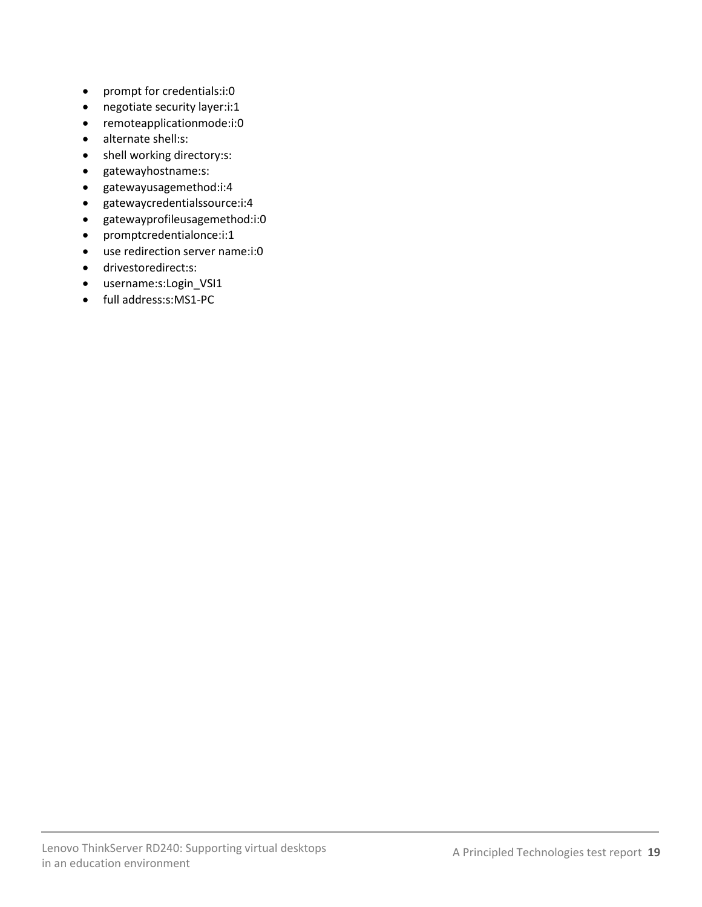- prompt for credentials:i:0
- negotiate security layer:i:1
- remoteapplicationmode:i:0
- alternate shell:s:
- shell working directory:s:
- gatewayhostname:s:
- gatewayusagemethod:i:4
- gatewaycredentialssource:i:4
- gatewayprofileusagemethod:i:0
- promptcredentialonce:i:1
- use redirection server name:i:0
- drivestoredirect:s:
- username:s:Login\_VSI1
- full address:s:MS1-PC